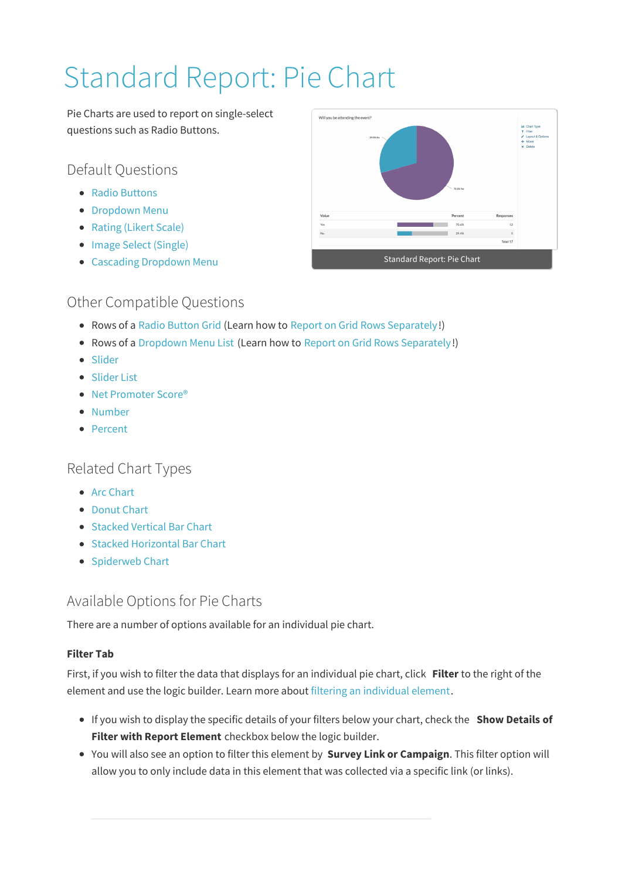# Standard Report: Pie Chart

Pie Charts are used to report on single-select questions such as Radio Buttons.

Default Questions

- Radio Buttons
- **Dropdown Menu**
- Rating (Likert Scale)
- Image Select (Single)
- Cascading Dropdown Menu



# Other Compatible Questions

- Rows of a Radio Button Grid (Learn how to Report on Grid Rows Separately!)
- Rows of a Dropdown Menu List (Learn how to Report on Grid Rows Separately!)
- Slider
- Slider List
- Net Promoter Score<sup>®</sup>
- Number
- Percent

# Related Chart Types

- Arc Chart
- Donut Chart
- Stacked Vertical Bar Chart
- Stacked Horizontal Bar Chart
- Spiderweb Chart

## Available Options for Pie Charts

There are a number of options available for an individual pie chart.

## **Filter Tab**

First, if you wish to filter the data that displays for an individual pie chart, click **Filter** to the right of the element and use the logic builder. Learn more about filtering an individual element.

- If you wish to display the specific details of your filters below your chart, check the **Show Details of Filter with Report Element** checkbox below the logic builder.
- You will also see an option to filter this element by **Survey Link or Campaign**. This filter option will allow you to only include data in this element that was collected via a specific link (or links).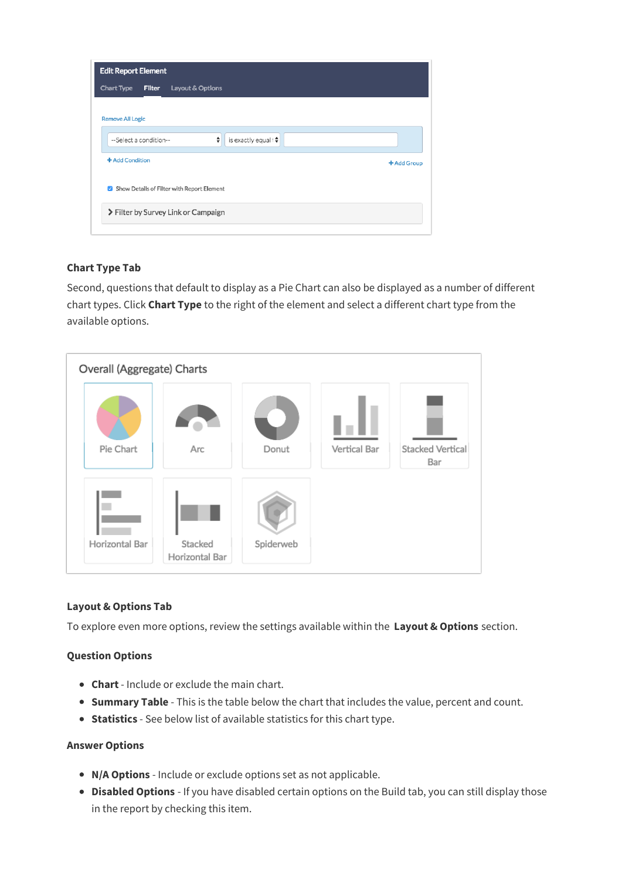| <b>Edit Report Element</b>                         |             |
|----------------------------------------------------|-------------|
| Chart Type<br><b>Filter</b><br>Layout & Options    |             |
|                                                    |             |
| <b>Remove All Logic</b>                            |             |
| ÷<br>is exactly equal to<br>--Select a condition-- |             |
| + Add Condition                                    | + Add Group |
| Show Details of Filter with Report Element         |             |
| > Filter by Survey Link or Campaign                |             |
|                                                    |             |

### **Chart Type Tab**

Second, questions that default to display as a Pie Chart can also be displayed as a number of different chart types. Click **Chart Type** to the right of the element and select a different chart type from the available options.



#### **Layout & Options Tab**

To explore even more options, review the settings available within the **Layout & Options** section.

#### **Question Options**

- **Chart** Include or exclude the main chart.
- **Summary Table** This is the table below the chart that includes the value, percent and count.
- **Statistics** See below list of available statistics for this chart type.

#### **Answer Options**

- **N/A Options** Include or exclude options set as not applicable.
- **Disabled Options** If you have disabled certain options on the Build tab, you can still display those in the report by checking this item.